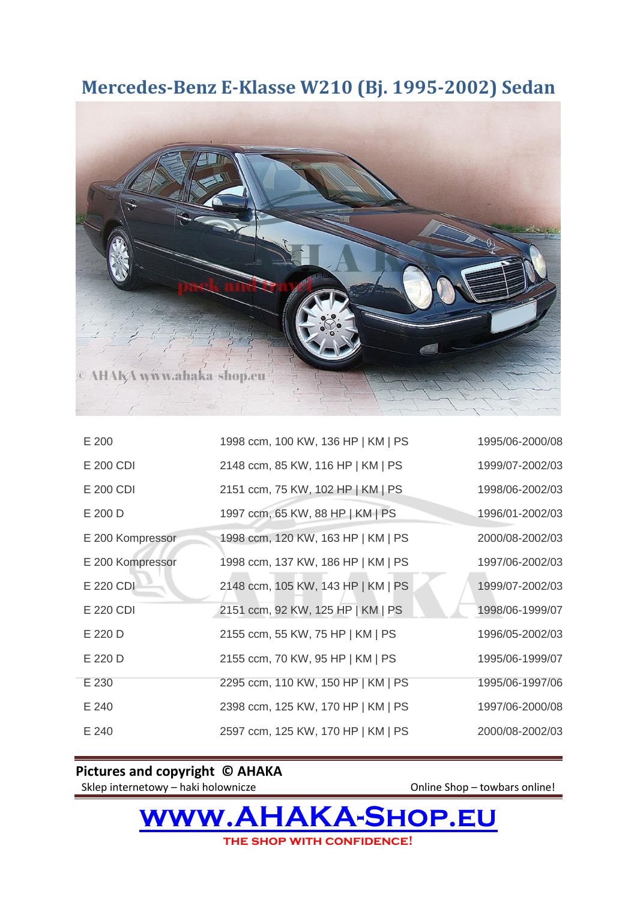## **Mercedes-Benz E-Klasse W210 (Bj. 1995-2002) Sedan**



| E 200            | 1998 ccm, 100 KW, 136 HP   KM   PS | 1995/06-2000/08 |
|------------------|------------------------------------|-----------------|
| E 200 CDI        | 2148 ccm, 85 KW, 116 HP   KM   PS  | 1999/07-2002/03 |
| E 200 CDI        | 2151 ccm, 75 KW, 102 HP   KM   PS  | 1998/06-2002/03 |
| E 200 D          | 1997 ccm, 65 KW, 88 HP   KM   PS   | 1996/01-2002/03 |
| E 200 Kompressor | 1998 ccm, 120 KW, 163 HP   KM   PS | 2000/08-2002/03 |
| E 200 Kompressor | 1998 ccm, 137 KW, 186 HP   KM   PS | 1997/06-2002/03 |
| E 220 CDI        | 2148 ccm, 105 KW, 143 HP   KM   PS | 1999/07-2002/03 |
| E 220 CDI        | 2151 ccm, 92 KW, 125 HP   KM   PS  | 1998/06-1999/07 |
| E 220 D          | 2155 ccm, 55 KW, 75 HP   KM   PS   | 1996/05-2002/03 |
| E 220 D          | 2155 ccm, 70 KW, 95 HP   KM   PS   | 1995/06-1999/07 |
| E 230            | 2295 ccm, 110 KW, 150 HP   KM   PS | 1995/06-1997/06 |
| E 240            | 2398 ccm, 125 KW, 170 HP   KM   PS | 1997/06-2000/08 |
| E 240            | 2597 ccm, 125 KW, 170 HP   KM   PS | 2000/08-2002/03 |

**Pictures and copyright © AHAKA**

Sklep internetowy – haki holownicze **Online Shop – towbars online!** 

**[www.AHAKA-Shop.eu](http://www.ahaka-shop.eu/) the shop with confidence!**